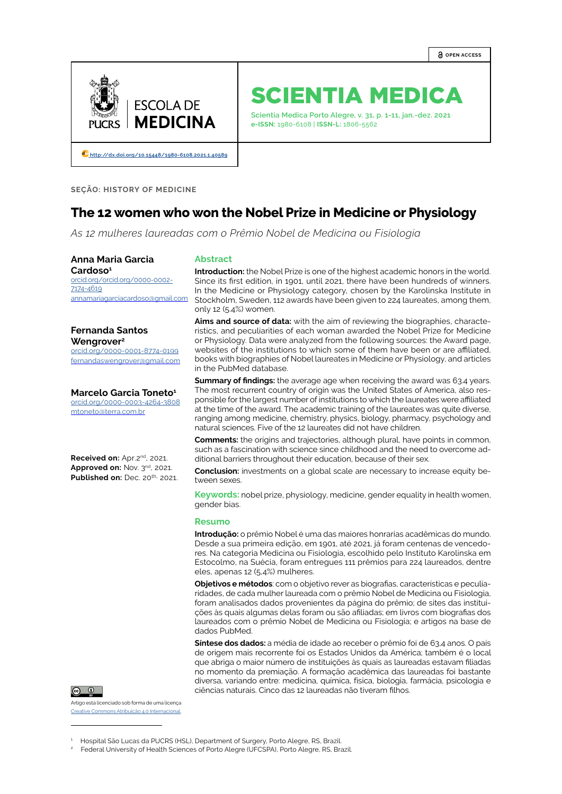

# SCIENTIA MEDICA

**Scientia Medica Porto Alegre, v. 31, p. 1-11, jan.-dez. 2021 e-ISSN:** 1980-6108 | **ISSN-L:** 1806-5562

 **[http://dx.doi.org/10.15448/1980-6108.2021.1.](http://dx.doi.org/10.15448/1980-6108.2021.1.40589)40589**

**SEÇÃO: HISTORY OF MEDICINE**

## **The 12 women who won the Nobel Prize in Medicine or Physiology**

*As 12 mulheres laureadas com o Prêmio Nobel de Medicina ou Fisiologia*

#### **Anna Maria Garcia Cardoso1**

[orcid.org/o](http://orcid.org/0000-0002-4167-1519)rcid.org/0000-0002- 7174-4619 annamariagarciacardoso@gmail.com

### **Fernanda Santos Wengrover2**

[orcid.org/](https://orcid.org/0000-0002-5473-9949)0000-0001-8774-0199 fernandaswengrover@gmail.com

**Marcelo Garcia Toneto1** [orcid.org/](https://orcid.org/0000-0002-4149-7012)0000-0003-4264-3808 mtoneto@terra.com.br

Received on: Apr.2<sup>nd</sup>, 2021. Approved on: Nov. 3<sup>nd</sup>, 2021. **Published on:** Dec. 20th, 2021.



Artigo está licenciado sob forma de uma licença [Creative Commons Atribuição 4.0 Internacional](https://creativecommons.org/licenses/by/4.0/deed.pt_BR).

#### **Abstract**

**Introduction:** the Nobel Prize is one of the highest academic honors in the world. Since its first edition, in 1901, until 2021, there have been hundreds of winners. In the Medicine or Physiology category, chosen by the Karolinska Institute in Stockholm, Sweden, 112 awards have been given to 224 laureates, among them, only 12 (5.4%) women.

**Aims and source of data:** with the aim of reviewing the biographies, characteristics, and peculiarities of each woman awarded the Nobel Prize for Medicine or Physiology. Data were analyzed from the following sources: the Award page, websites of the institutions to which some of them have been or are affiliated, books with biographies of Nobel laureates in Medicine or Physiology, and articles in the PubMed database.

**Summary of findings:** the average age when receiving the award was 63.4 years. The most recurrent country of origin was the United States of America, also responsible for the largest number of institutions to which the laureates were affiliated at the time of the award. The academic training of the laureates was quite diverse, ranging among medicine, chemistry, physics, biology, pharmacy, psychology and natural sciences. Five of the 12 laureates did not have children.

**Comments:** the origins and trajectories, although plural, have points in common, such as a fascination with science since childhood and the need to overcome additional barriers throughout their education, because of their sex.

**Conclusion:** investments on a global scale are necessary to increase equity between sexes.

**Keywords:** nobel prize, physiology, medicine, gender equality in health women, gender bias.

#### **Resumo**

**Introdução:** o prêmio Nobel é uma das maiores honrarias acadêmicas do mundo. Desde a sua primeira edição, em 1901, até 2021, já foram centenas de vencedores. Na categoria Medicina ou Fisiologia, escolhido pelo Instituto Karolinska em Estocolmo, na Suécia, foram entregues 111 prêmios para 224 laureados, dentre eles, apenas 12 (5,4%) mulheres.

**Objetivos e métodos**: com o objetivo rever as biografias, características e peculiaridades, de cada mulher laureada com o prêmio Nobel de Medicina ou Fisiologia, foram analisados dados provenientes da página do prêmio; de sites das instituições às quais algumas delas foram ou são afiliadas; em livros com biografias dos laureados com o prêmio Nobel de Medicina ou Fisiologia; e artigos na base de dados PubMed.

**Síntese dos dados:** a média de idade ao receber o prêmio foi de 63,4 anos. O país de origem mais recorrente foi os Estados Unidos da América; também é o local que abriga o maior número de instituições às quais as laureadas estavam filiadas no momento da premiação. A formação acadêmica das laureadas foi bastante diversa, variando entre: medicina, química, física, biologia, farmácia, psicologia e ciências naturais. Cinco das 12 laureadas não tiveram filhos.

<sup>1</sup> Hospital São Lucas da PUCRS (HSL), Department of Surgery, Porto Alegre, RS, Brazil.

<sup>2</sup> Federal University of Health Sciences of Porto Alegre (UFCSPA), Porto Alegre, RS, Brazil.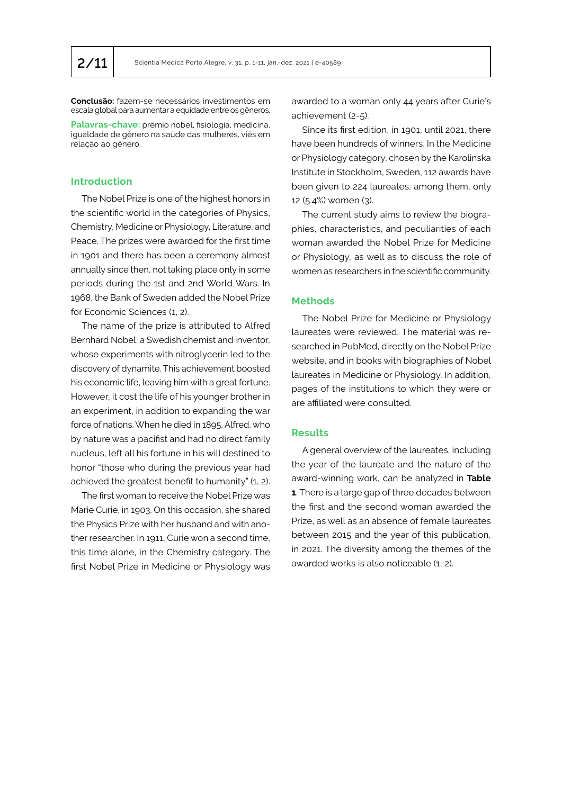**Conclusão:** fazem-se necessários investimentos em escala global para aumentar a equidade entre os gêneros.

**Palavras-chave:** prêmio nobel, fisiologia, medicina, igualdade de gênero na saúde das mulheres, viés em relação ao gênero.

## **Introduction**

The Nobel Prize is one of the highest honors in the scientific world in the categories of Physics, Chemistry, Medicine or Physiology, Literature, and Peace. The prizes were awarded for the first time in 1901 and there has been a ceremony almost annually since then, not taking place only in some periods during the 1st and 2nd World Wars. In 1968, the Bank of Sweden added the Nobel Prize for Economic Sciences (1, 2).

The name of the prize is attributed to Alfred Bernhard Nobel, a Swedish chemist and inventor, whose experiments with nitroglycerin led to the discovery of dynamite. This achievement boosted his economic life, leaving him with a great fortune. However, it cost the life of his younger brother in an experiment, in addition to expanding the war force of nations. When he died in 1895, Alfred, who by nature was a pacifist and had no direct family nucleus, left all his fortune in his will destined to honor "those who during the previous year had achieved the greatest benefit to humanity" (1, 2).

The first woman to receive the Nobel Prize was Marie Curie, in 1903. On this occasion, she shared the Physics Prize with her husband and with another researcher. In 1911, Curie won a second time, this time alone, in the Chemistry category. The first Nobel Prize in Medicine or Physiology was awarded to a woman only 44 years after Curie's achievement (2-5).

Since its first edition, in 1901, until 2021, there have been hundreds of winners. In the Medicine or Physiology category, chosen by the Karolinska Institute in Stockholm, Sweden, 112 awards have been given to 224 laureates, among them, only 12 (5.4%) women (3).

The current study aims to review the biographies, characteristics, and peculiarities of each woman awarded the Nobel Prize for Medicine or Physiology, as well as to discuss the role of women as researchers in the scientific community.

## **Methods**

The Nobel Prize for Medicine or Physiology laureates were reviewed. The material was researched in PubMed, directly on the Nobel Prize website, and in books with biographies of Nobel laureates in Medicine or Physiology. In addition, pages of the institutions to which they were or are affiliated were consulted.

## **Results**

A general overview of the laureates, including the year of the laureate and the nature of the award-winning work, can be analyzed in **Table 1**. There is a large gap of three decades between the first and the second woman awarded the Prize, as well as an absence of female laureates between 2015 and the year of this publication, in 2021. The diversity among the themes of the awarded works is also noticeable (1, 2).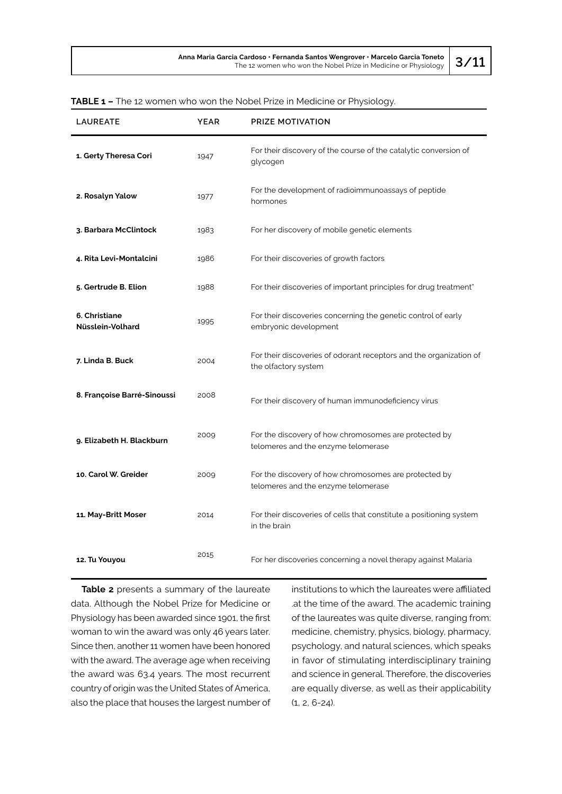| <b>LAUREATE</b>                   | <b>YEAR</b> | PRIZE MOTIVATION                                                                             |
|-----------------------------------|-------------|----------------------------------------------------------------------------------------------|
| 1. Gerty Theresa Cori             | 1947        | For their discovery of the course of the catalytic conversion of<br>glycogen                 |
| 2. Rosalyn Yalow                  | 1977        | For the development of radioimmunoassays of peptide<br>hormones                              |
| 3. Barbara McClintock             | 1983        | For her discovery of mobile genetic elements                                                 |
| 4. Rita Levi-Montalcini           | 1986        | For their discoveries of growth factors                                                      |
| 5. Gertrude B. Elion              | 1988        | For their discoveries of important principles for drug treatment"                            |
| 6. Christiane<br>Nüsslein-Volhard | 1995        | For their discoveries concerning the genetic control of early<br>embryonic development       |
| 7. Linda B. Buck                  | 2004        | For their discoveries of odorant receptors and the organization of<br>the olfactory system   |
| 8. Françoise Barré-Sinoussi       | 2008        | For their discovery of human immunodeficiency virus                                          |
| 9. Elizabeth H. Blackburn         | 2009        | For the discovery of how chromosomes are protected by<br>telomeres and the enzyme telomerase |
| 10. Carol W. Greider              | 2009        | For the discovery of how chromosomes are protected by<br>telomeres and the enzyme telomerase |
| 11. May-Britt Moser               | 2014        | For their discoveries of cells that constitute a positioning system<br>in the brain          |
| 12. Tu Youyou                     | 2015        | For her discoveries concerning a novel therapy against Malaria                               |

| <b>TABLE 1 -</b> The 12 women who won the Nobel Prize in Medicine or Physiology. |  |  |  |  |  |  |  |
|----------------------------------------------------------------------------------|--|--|--|--|--|--|--|
|                                                                                  |  |  |  |  |  |  |  |

**Table 2** presents a summary of the laureate data. Although the Nobel Prize for Medicine or Physiology has been awarded since 1901, the first woman to win the award was only 46 years later. Since then, another 11 women have been honored with the award. The average age when receiving the award was 63.4 years. The most recurrent country of origin was the United States of America, also the place that houses the largest number of

institutions to which the laureates were affiliated .at the time of the award. The academic training of the laureates was quite diverse, ranging from: medicine, chemistry, physics, biology, pharmacy, psychology, and natural sciences, which speaks in favor of stimulating interdisciplinary training and science in general. Therefore, the discoveries are equally diverse, as well as their applicability (1, 2, 6-24).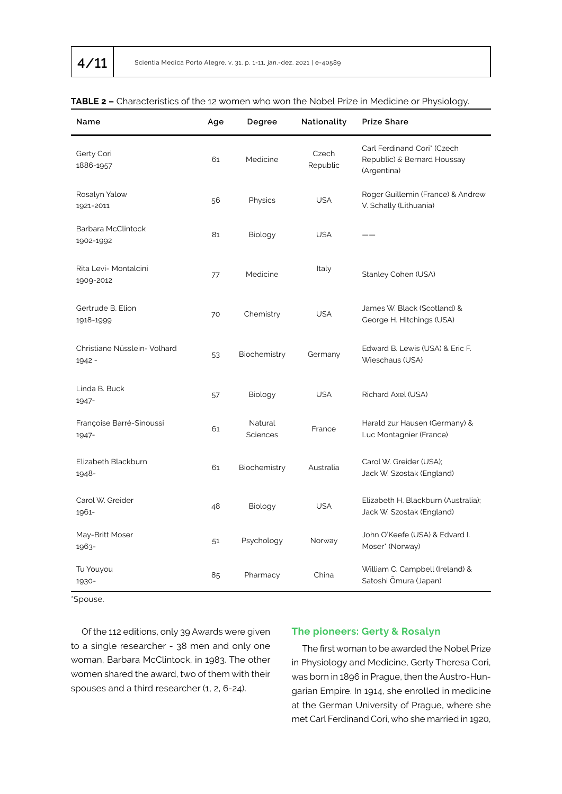| Name                                   | Age | Degree                     | Nationality       | <b>Prize Share</b>                                                        |  |  |  |
|----------------------------------------|-----|----------------------------|-------------------|---------------------------------------------------------------------------|--|--|--|
| Gerty Cori<br>1886-1957                | 61  | Medicine                   | Czech<br>Republic | Carl Ferdinand Cori* (Czech<br>Republic) & Bernard Houssay<br>(Argentina) |  |  |  |
| Rosalyn Yalow<br>1921-2011             | 56  | Physics                    | <b>USA</b>        | Roger Guillemin (France) & Andrew<br>V. Schally (Lithuania)               |  |  |  |
| Barbara McClintock<br>1902-1992        | 81  | Biology                    | <b>USA</b>        |                                                                           |  |  |  |
| Rita Levi- Montalcini<br>1909-2012     | 77  | Medicine                   | Italy             | Stanley Cohen (USA)                                                       |  |  |  |
| Gertrude B. Elion<br>1918-1999         | 70  | Chemistry                  | <b>USA</b>        | James W. Black (Scotland) &<br>George H. Hitchings (USA)                  |  |  |  |
| Christiane Nüsslein- Volhard<br>1942 - | 53  | Biochemistry               | Germany           | Edward B. Lewis (USA) & Eric F.<br>Wieschaus (USA)                        |  |  |  |
| Linda B. Buck<br>1947-                 | 57  | Biology                    | <b>USA</b>        | Richard Axel (USA)                                                        |  |  |  |
| Françoise Barré-Sinoussi<br>1947-      | 61  | Natural<br><b>Sciences</b> | France            | Harald zur Hausen (Germany) &<br>Luc Montagnier (France)                  |  |  |  |
| Elizabeth Blackburn<br>1948-           | 61  | Biochemistry               | Australia         | Carol W. Greider (USA);<br>Jack W. Szostak (England)                      |  |  |  |
| Carol W. Greider<br>1961-              | 48  | Biology                    | <b>USA</b>        | Elizabeth H. Blackburn (Australia):<br>Jack W. Szostak (England)          |  |  |  |
| May-Britt Moser<br>1963-               | 51  | Psychology                 | Norway            | John O'Keefe (USA) & Edvard I.<br>Moser* (Norway)                         |  |  |  |
| Tu Youyou<br>1930-                     | 85  | Pharmacy                   | China             | William C. Campbell (Ireland) &<br>Satoshi Ōmura (Japan)                  |  |  |  |

## **TABLE 2 –** Characteristics of the 12 women who won the Nobel Prize in Medicine or Physiology.

\*Spouse.

Of the 112 editions, only 39 Awards were given to a single researcher - 38 men and only one woman, Barbara McClintock, in 1983. The other women shared the award, two of them with their spouses and a third researcher (1, 2, 6-24).

## **The pioneers: Gerty & Rosalyn**

The first woman to be awarded the Nobel Prize in Physiology and Medicine, Gerty Theresa Cori, was born in 1896 in Prague, then the Austro-Hungarian Empire. In 1914, she enrolled in medicine at the German University of Prague, where she met Carl Ferdinand Cori, who she married in 1920,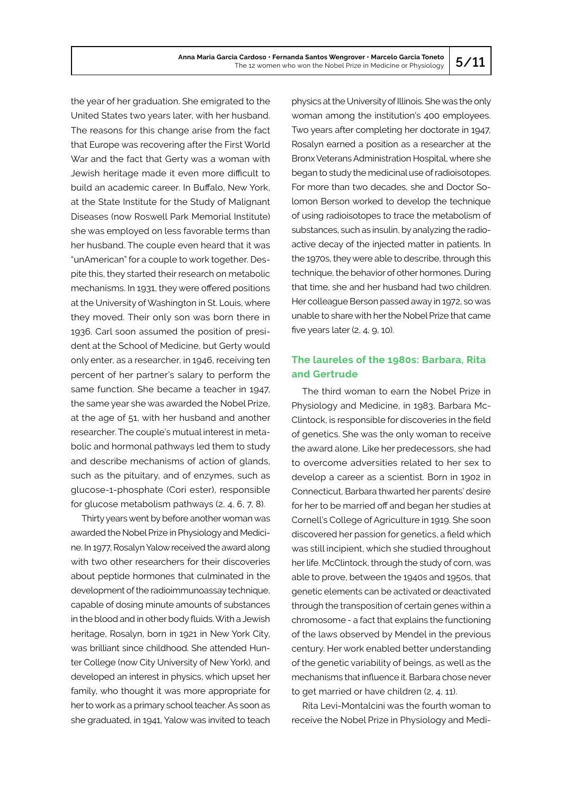the year of her graduation. She emigrated to the United States two years later, with her husband. The reasons for this change arise from the fact that Europe was recovering after the First World War and the fact that Gerty was a woman with Jewish heritage made it even more difficult to build an academic career. In Buffalo, New York, at the State Institute for the Study of Malignant Diseases (now Roswell Park Memorial Institute) she was employed on less favorable terms than her husband. The couple even heard that it was "unAmerican" for a couple to work together. Despite this, they started their research on metabolic mechanisms. In 1931, they were offered positions at the University of Washington in St. Louis, where they moved. Their only son was born there in 1936. Carl soon assumed the position of president at the School of Medicine, but Gerty would only enter, as a researcher, in 1946, receiving ten percent of her partner's salary to perform the same function. She became a teacher in 1947, the same year she was awarded the Nobel Prize, at the age of 51, with her husband and another researcher. The couple's mutual interest in metabolic and hormonal pathways led them to study and describe mechanisms of action of glands, such as the pituitary, and of enzymes, such as glucose-1-phosphate (Cori ester), responsible for glucose metabolism pathways (2, 4, 6, 7, 8).

Thirty years went by before another woman was awarded the Nobel Prize in Physiology and Medicine. In 1977, Rosalyn Yalow received the award along with two other researchers for their discoveries about peptide hormones that culminated in the development of the radioimmunoassay technique, capable of dosing minute amounts of substances in the blood and in other body fluids. With a Jewish heritage, Rosalyn, born in 1921 in New York City, was brilliant since childhood. She attended Hunter College (now City University of New York), and developed an interest in physics, which upset her family, who thought it was more appropriate for her to work as a primary school teacher. As soon as she graduated, in 1941, Yalow was invited to teach

physics at the University of Illinois. She was the only woman among the institution's 400 employees. Two years after completing her doctorate in 1947, Rosalyn earned a position as a researcher at the Bronx Veterans Administration Hospital, where she began to study the medicinal use of radioisotopes. For more than two decades, she and Doctor Solomon Berson worked to develop the technique of using radioisotopes to trace the metabolism of substances, such as insulin, by analyzing the radioactive decay of the injected matter in patients. In the 1970s, they were able to describe, through this technique, the behavior of other hormones. During that time, she and her husband had two children. Her colleague Berson passed away in 1972, so was unable to share with her the Nobel Prize that came five years later (2, 4, 9, 10).

## **The laureles of the 1980s: Barbara, Rita and Gertrude**

The third woman to earn the Nobel Prize in Physiology and Medicine, in 1983, Barbara Mc-Clintock, is responsible for discoveries in the field of genetics. She was the only woman to receive the award alone. Like her predecessors, she had to overcome adversities related to her sex to develop a career as a scientist. Born in 1902 in Connecticut, Barbara thwarted her parents' desire for her to be married off and began her studies at Cornell's College of Agriculture in 1919. She soon discovered her passion for genetics, a field which was still incipient, which she studied throughout her life. McClintock, through the study of corn, was able to prove, between the 1940s and 1950s, that genetic elements can be activated or deactivated through the transposition of certain genes within a chromosome - a fact that explains the functioning of the laws observed by Mendel in the previous century. Her work enabled better understanding of the genetic variability of beings, as well as the mechanisms that influence it. Barbara chose never to get married or have children (2, 4, 11).

Rita Levi-Montalcini was the fourth woman to receive the Nobel Prize in Physiology and Medi-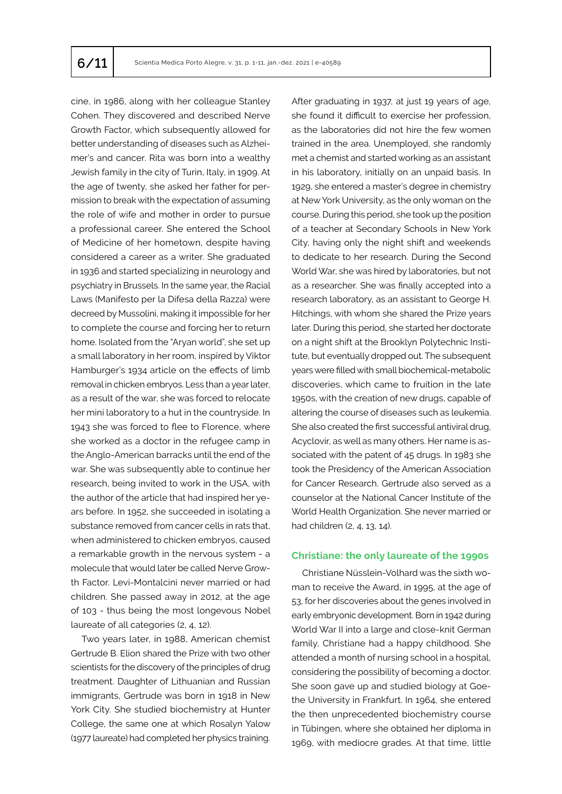cine, in 1986, along with her colleague Stanley Cohen. They discovered and described Nerve Growth Factor, which subsequently allowed for better understanding of diseases such as Alzheimer's and cancer. Rita was born into a wealthy Jewish family in the city of Turin, Italy, in 1909. At the age of twenty, she asked her father for permission to break with the expectation of assuming the role of wife and mother in order to pursue a professional career. She entered the School of Medicine of her hometown, despite having considered a career as a writer. She graduated in 1936 and started specializing in neurology and psychiatry in Brussels. In the same year, the Racial Laws (Manifesto per la Difesa della Razza) were decreed by Mussolini, making it impossible for her to complete the course and forcing her to return home. Isolated from the "Aryan world", she set up a small laboratory in her room, inspired by Viktor Hamburger's 1934 article on the effects of limb removal in chicken embryos. Less than a year later, as a result of the war, she was forced to relocate her mini laboratory to a hut in the countryside. In 1943 she was forced to flee to Florence, where she worked as a doctor in the refugee camp in the Anglo-American barracks until the end of the war. She was subsequently able to continue her research, being invited to work in the USA, with the author of the article that had inspired her years before. In 1952, she succeeded in isolating a substance removed from cancer cells in rats that, when administered to chicken embryos, caused a remarkable growth in the nervous system - a molecule that would later be called Nerve Growth Factor. Levi-Montalcini never married or had children. She passed away in 2012, at the age of 103 - thus being the most longevous Nobel laureate of all categories (2, 4, 12).

Two years later, in 1988, American chemist Gertrude B. Elion shared the Prize with two other scientists for the discovery of the principles of drug treatment. Daughter of Lithuanian and Russian immigrants, Gertrude was born in 1918 in New York City. She studied biochemistry at Hunter College, the same one at which Rosalyn Yalow (1977 laureate) had completed her physics training.

After graduating in 1937, at just 19 years of age, she found it difficult to exercise her profession, as the laboratories did not hire the few women trained in the area. Unemployed, she randomly met a chemist and started working as an assistant in his laboratory, initially on an unpaid basis. In 1929, she entered a master's degree in chemistry at New York University, as the only woman on the course. During this period, she took up the position of a teacher at Secondary Schools in New York City, having only the night shift and weekends to dedicate to her research. During the Second World War, she was hired by laboratories, but not as a researcher. She was finally accepted into a research laboratory, as an assistant to George H. Hitchings, with whom she shared the Prize years later. During this period, she started her doctorate on a night shift at the Brooklyn Polytechnic Institute, but eventually dropped out. The subsequent years were filled with small biochemical-metabolic discoveries, which came to fruition in the late 1950s, with the creation of new drugs, capable of altering the course of diseases such as leukemia. She also created the first successful antiviral drug, Acyclovir, as well as many others. Her name is associated with the patent of 45 drugs. In 1983 she took the Presidency of the American Association for Cancer Research. Gertrude also served as a counselor at the National Cancer Institute of the World Health Organization. She never married or had children (2, 4, 13, 14).

## **Christiane: the only laureate of the 1990s**

Christiane Nüsslein-Volhard was the sixth woman to receive the Award, in 1995, at the age of 53, for her discoveries about the genes involved in early embryonic development. Born in 1942 during World War II into a large and close-knit German family, Christiane had a happy childhood. She attended a month of nursing school in a hospital, considering the possibility of becoming a doctor. She soon gave up and studied biology at Goethe University in Frankfurt. In 1964, she entered the then unprecedented biochemistry course in Tübingen, where she obtained her diploma in 1969, with mediocre grades. At that time, little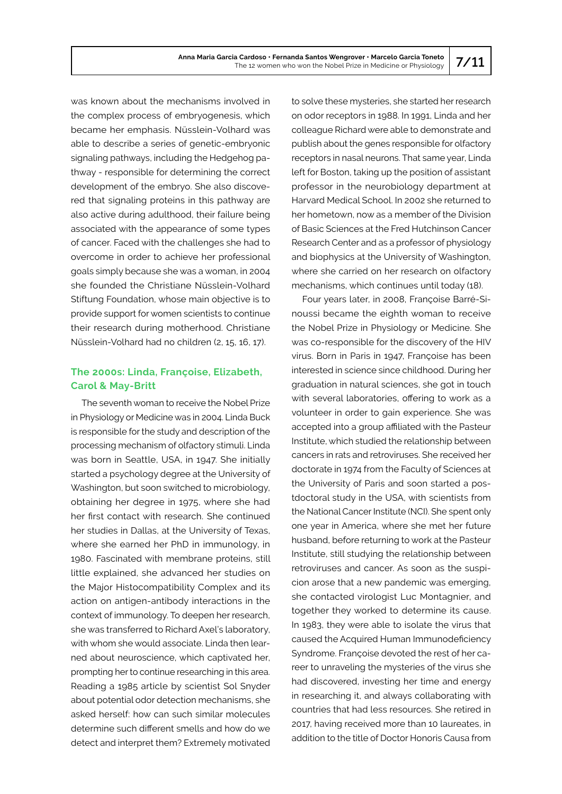was known about the mechanisms involved in the complex process of embryogenesis, which became her emphasis. Nüsslein-Volhard was able to describe a series of genetic-embryonic signaling pathways, including the Hedgehog pathway - responsible for determining the correct development of the embryo. She also discovered that signaling proteins in this pathway are also active during adulthood, their failure being associated with the appearance of some types of cancer. Faced with the challenges she had to overcome in order to achieve her professional goals simply because she was a woman, in 2004 she founded the Christiane Nüsslein-Volhard Stiftung Foundation, whose main objective is to provide support for women scientists to continue their research during motherhood. Christiane Nüsslein-Volhard had no children (2, 15, 16, 17).

## **The 2000s: Linda, Françoise, Elizabeth, Carol & May-Britt**

The seventh woman to receive the Nobel Prize in Physiology or Medicine was in 2004. Linda Buck is responsible for the study and description of the processing mechanism of olfactory stimuli. Linda was born in Seattle, USA, in 1947. She initially started a psychology degree at the University of Washington, but soon switched to microbiology, obtaining her degree in 1975, where she had her first contact with research. She continued her studies in Dallas, at the University of Texas, where she earned her PhD in immunology, in 1980. Fascinated with membrane proteins, still little explained, she advanced her studies on the Major Histocompatibility Complex and its action on antigen-antibody interactions in the context of immunology. To deepen her research, she was transferred to Richard Axel's laboratory, with whom she would associate. Linda then learned about neuroscience, which captivated her, prompting her to continue researching in this area. Reading a 1985 article by scientist Sol Snyder about potential odor detection mechanisms, she asked herself: how can such similar molecules determine such different smells and how do we detect and interpret them? Extremely motivated to solve these mysteries, she started her research on odor receptors in 1988. In 1991, Linda and her colleague Richard were able to demonstrate and publish about the genes responsible for olfactory receptors in nasal neurons. That same year, Linda left for Boston, taking up the position of assistant professor in the neurobiology department at Harvard Medical School. In 2002 she returned to her hometown, now as a member of the Division of Basic Sciences at the Fred Hutchinson Cancer Research Center and as a professor of physiology and biophysics at the University of Washington, where she carried on her research on olfactory mechanisms, which continues until today (18).

Four years later, in 2008, Françoise Barré-Sinoussi became the eighth woman to receive the Nobel Prize in Physiology or Medicine. She was co-responsible for the discovery of the HIV virus. Born in Paris in 1947, Françoise has been interested in science since childhood. During her graduation in natural sciences, she got in touch with several laboratories, offering to work as a volunteer in order to gain experience. She was accepted into a group affiliated with the Pasteur Institute, which studied the relationship between cancers in rats and retroviruses. She received her doctorate in 1974 from the Faculty of Sciences at the University of Paris and soon started a postdoctoral study in the USA, with scientists from the National Cancer Institute (NCI). She spent only one year in America, where she met her future husband, before returning to work at the Pasteur Institute, still studying the relationship between retroviruses and cancer. As soon as the suspicion arose that a new pandemic was emerging, she contacted virologist Luc Montagnier, and together they worked to determine its cause. In 1983, they were able to isolate the virus that caused the Acquired Human Immunodeficiency Syndrome. Françoise devoted the rest of her career to unraveling the mysteries of the virus she had discovered, investing her time and energy in researching it, and always collaborating with countries that had less resources. She retired in 2017, having received more than 10 laureates, in addition to the title of Doctor Honoris Causa from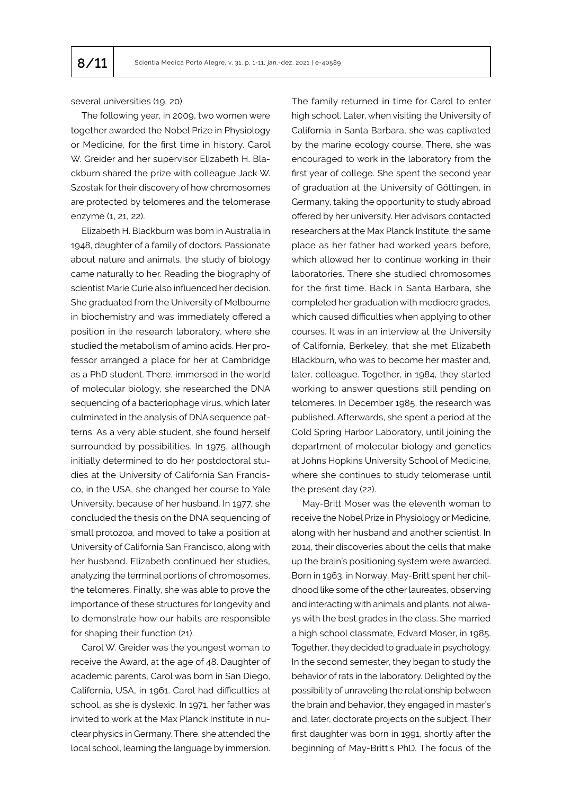several universities (19, 20).

The following year, in 2009, two women were together awarded the Nobel Prize in Physiology or Medicine, for the first time in history. Carol W. Greider and her supervisor Elizabeth H. Blackburn shared the prize with colleague Jack W. Szostak for their discovery of how chromosomes are protected by telomeres and the telomerase enzyme (1, 21, 22).

Elizabeth H. Blackburn was born in Australia in 1948, daughter of a family of doctors. Passionate about nature and animals, the study of biology came naturally to her. Reading the biography of scientist Marie Curie also influenced her decision. She graduated from the University of Melbourne in biochemistry and was immediately offered a position in the research laboratory, where she studied the metabolism of amino acids. Her professor arranged a place for her at Cambridge as a PhD student. There, immersed in the world of molecular biology, she researched the DNA sequencing of a bacteriophage virus, which later culminated in the analysis of DNA sequence patterns. As a very able student, she found herself surrounded by possibilities. In 1975, although initially determined to do her postdoctoral studies at the University of California San Francisco, in the USA, she changed her course to Yale University, because of her husband. In 1977, she concluded the thesis on the DNA sequencing of small protozoa, and moved to take a position at University of California San Francisco, along with her husband. Elizabeth continued her studies, analyzing the terminal portions of chromosomes, the telomeres. Finally, she was able to prove the importance of these structures for longevity and to demonstrate how our habits are responsible for shaping their function (21).

Carol W. Greider was the youngest woman to receive the Award, at the age of 48. Daughter of academic parents, Carol was born in San Diego, California, USA, in 1961. Carol had difficulties at school, as she is dyslexic. In 1971, her father was invited to work at the Max Planck Institute in nuclear physics in Germany. There, she attended the local school, learning the language by immersion. The family returned in time for Carol to enter high school. Later, when visiting the University of California in Santa Barbara, she was captivated by the marine ecology course. There, she was encouraged to work in the laboratory from the first year of college. She spent the second year of graduation at the University of Göttingen, in Germany, taking the opportunity to study abroad offered by her university. Her advisors contacted researchers at the Max Planck Institute, the same place as her father had worked years before, which allowed her to continue working in their laboratories. There she studied chromosomes for the first time. Back in Santa Barbara, she completed her graduation with mediocre grades, which caused difficulties when applying to other courses. It was in an interview at the University of California, Berkeley, that she met Elizabeth Blackburn, who was to become her master and, later, colleague. Together, in 1984, they started working to answer questions still pending on telomeres. In December 1985, the research was published. Afterwards, she spent a period at the Cold Spring Harbor Laboratory, until joining the department of molecular biology and genetics at Johns Hopkins University School of Medicine, where she continues to study telomerase until the present day (22).

May-Britt Moser was the eleventh woman to receive the Nobel Prize in Physiology or Medicine, along with her husband and another scientist. In 2014, their discoveries about the cells that make up the brain's positioning system were awarded. Born in 1963, in Norway, May-Britt spent her childhood like some of the other laureates, observing and interacting with animals and plants, not always with the best grades in the class. She married a high school classmate, Edvard Moser, in 1985. Together, they decided to graduate in psychology. In the second semester, they began to study the behavior of rats in the laboratory. Delighted by the possibility of unraveling the relationship between the brain and behavior, they engaged in master's and, later, doctorate projects on the subject. Their first daughter was born in 1991, shortly after the beginning of May-Britt's PhD. The focus of the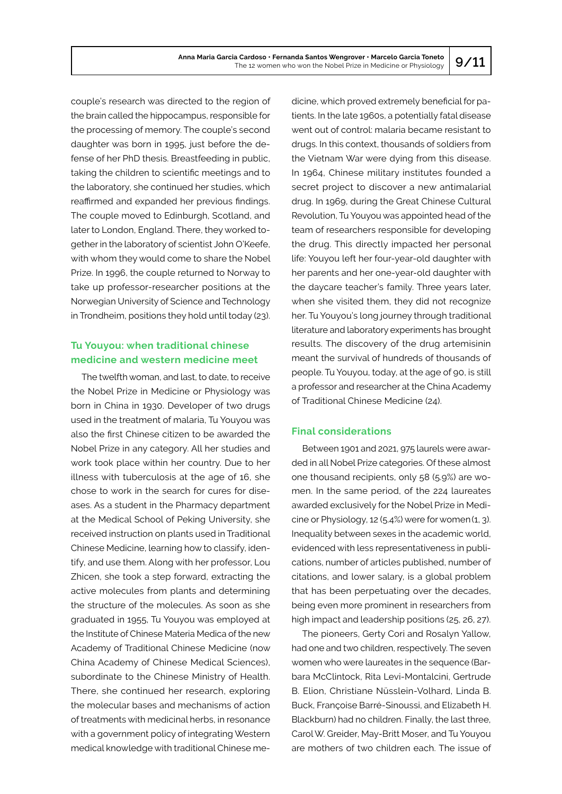couple's research was directed to the region of the brain called the hippocampus, responsible for the processing of memory. The couple's second daughter was born in 1995, just before the defense of her PhD thesis. Breastfeeding in public, taking the children to scientific meetings and to the laboratory, she continued her studies, which reaffirmed and expanded her previous findings. The couple moved to Edinburgh, Scotland, and later to London, England. There, they worked together in the laboratory of scientist John O'Keefe, with whom they would come to share the Nobel Prize. In 1996, the couple returned to Norway to take up professor-researcher positions at the Norwegian University of Science and Technology in Trondheim, positions they hold until today (23).

## **Tu Youyou: when traditional chinese medicine and western medicine meet**

The twelfth woman, and last, to date, to receive the Nobel Prize in Medicine or Physiology was born in China in 1930. Developer of two drugs used in the treatment of malaria, Tu Youyou was also the first Chinese citizen to be awarded the Nobel Prize in any category. All her studies and work took place within her country. Due to her illness with tuberculosis at the age of 16, she chose to work in the search for cures for diseases. As a student in the Pharmacy department at the Medical School of Peking University, she received instruction on plants used in Traditional Chinese Medicine, learning how to classify, identify, and use them. Along with her professor, Lou Zhicen, she took a step forward, extracting the active molecules from plants and determining the structure of the molecules. As soon as she graduated in 1955, Tu Youyou was employed at the Institute of Chinese Materia Medica of the new Academy of Traditional Chinese Medicine (now China Academy of Chinese Medical Sciences), subordinate to the Chinese Ministry of Health. There, she continued her research, exploring the molecular bases and mechanisms of action of treatments with medicinal herbs, in resonance with a government policy of integrating Western medical knowledge with traditional Chinese medicine, which proved extremely beneficial for patients. In the late 1960s, a potentially fatal disease went out of control: malaria became resistant to drugs. In this context, thousands of soldiers from the Vietnam War were dying from this disease. In 1964, Chinese military institutes founded a secret project to discover a new antimalarial drug. In 1969, during the Great Chinese Cultural Revolution, Tu Youyou was appointed head of the team of researchers responsible for developing the drug. This directly impacted her personal life: Youyou left her four-year-old daughter with her parents and her one-year-old daughter with the daycare teacher's family. Three years later, when she visited them, they did not recognize her. Tu Youyou's long journey through traditional literature and laboratory experiments has brought results. The discovery of the drug artemisinin meant the survival of hundreds of thousands of people. Tu Youyou, today, at the age of 90, is still a professor and researcher at the China Academy of Traditional Chinese Medicine (24).

## **Final considerations**

Between 1901 and 2021, 975 laurels were awarded in all Nobel Prize categories. Of these almost one thousand recipients, only 58 (5.9%) are women. In the same period, of the 224 laureates awarded exclusively for the Nobel Prize in Medicine or Physiology, 12 (5.4%) were for women(1, 3). Inequality between sexes in the academic world, evidenced with less representativeness in publications, number of articles published, number of citations, and lower salary, is a global problem that has been perpetuating over the decades, being even more prominent in researchers from high impact and leadership positions (25, 26, 27).

The pioneers, Gerty Cori and Rosalyn Yallow, had one and two children, respectively. The seven women who were laureates in the sequence (Barbara McClintock, Rita Levi-Montalcini, Gertrude B. Elion, Christiane Nüsslein-Volhard, Linda B. Buck, Françoise Barré-Sinoussi, and Elizabeth H. Blackburn) had no children. Finally, the last three, Carol W. Greider, May-Britt Moser, and Tu Youyou are mothers of two children each. The issue of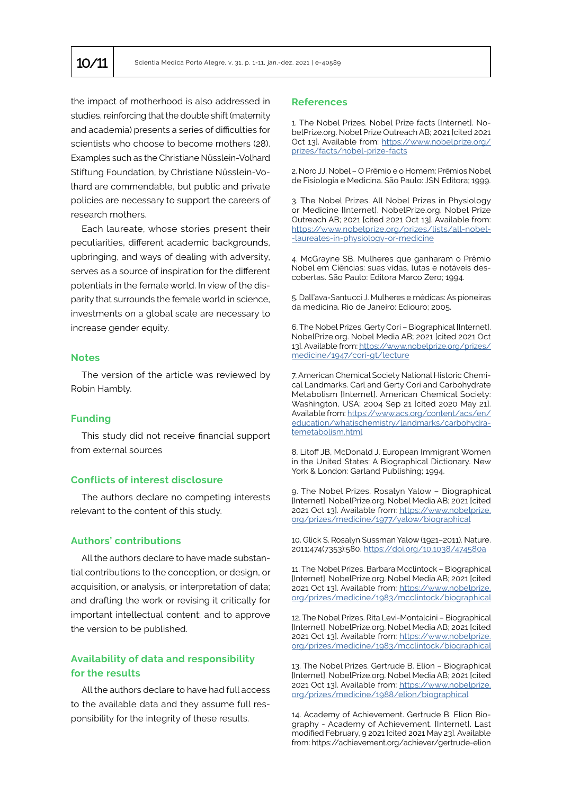the impact of motherhood is also addressed in studies, reinforcing that the double shift (maternity and academia) presents a series of difficulties for scientists who choose to become mothers (28). Examples such as the Christiane Nüsslein-Volhard Stiftung Foundation, by Christiane Nüsslein-Volhard are commendable, but public and private policies are necessary to support the careers of research mothers.

Each laureate, whose stories present their peculiarities, different academic backgrounds, upbringing, and ways of dealing with adversity, serves as a source of inspiration for the different potentials in the female world. In view of the disparity that surrounds the female world in science, investments on a global scale are necessary to increase gender equity.

## **Notes**

The version of the article was reviewed by Robin Hambly.

## **Funding**

This study did not receive financial support from external sources

## **Conflicts of interest disclosure**

The authors declare no competing interests relevant to the content of this study.

## **Authors' contributions**

All the authors declare to have made substantial contributions to the conception, or design, or acquisition, or analysis, or interpretation of data; and drafting the work or revising it critically for important intellectual content; and to approve the version to be published.

## **Availability of data and responsibility for the results**

All the authors declare to have had full access to the available data and they assume full responsibility for the integrity of these results.

## **References**

1. The Nobel Prizes. Nobel Prize facts [Internet]. NobelPrize.org. Nobel Prize Outreach AB; 2021 [cited 2021 Oct 13]. Available from: [https://www.nobelprize.org/](https://www.nobelprize.org/prizes/facts/nobel-prize-facts) [prizes/facts/nobel-prize-facts](https://www.nobelprize.org/prizes/facts/nobel-prize-facts)

2. Noro JJ. Nobel – O Prêmio e o Homem: Prêmios Nobel de Fisiologia e Medicina. São Paulo: JSN Editora; 1999.

3. The Nobel Prizes. All Nobel Prizes in Physiology or Medicine [Internet]. NobelPrize.org. Nobel Prize Outreach AB; 2021 [cited 2021 Oct 13]. Available from: [https://www.nobelprize.org/prizes/lists/all-nobel](https://www.nobelprize.org/prizes/lists/all-nobel-laureates-in-physiology-or-medicine/)- [-laureates-in-physiology-or-medicine](https://www.nobelprize.org/prizes/lists/all-nobel-laureates-in-physiology-or-medicine/)

4. McGrayne SB. Mulheres que ganharam o Prêmio Nobel em Ciências: suas vidas, lutas e notáveis descobertas. São Paulo: Editora Marco Zero; 1994.

5. Dall'ava-Santucci J. Mulheres e médicas: As pioneiras da medicina. Rio de Janeiro: Ediouro; 2005.

6. The Nobel Prizes. Gerty Cori – Biographical [Internet]. NobelPrize.org. Nobel Media AB; 2021 [cited 2021 Oct 13]. Available from: [https://www.nobelprize.org/prizes/](https://www.nobelprize.org/prizes/medicine/1947/cori-gt/lecture/) [medicine/1947/cori-gt/lecture](https://www.nobelprize.org/prizes/medicine/1947/cori-gt/lecture/)

7. American Chemical Society National Historic Chemical Landmarks. Carl and Gerty Cori and Carbohydrate Metabolism [Internet]. American Chemical Society: Washington, USA; 2004 Sep 21 [cited 2020 May 21]. Available from: [https://www.acs.org/content/acs/en/](https://www.acs.org/content/acs/en/education/whatischemistry/landmarks/carbohydratemetabolism.html) [education/whatischemistry/landmarks/carbohydra](https://www.acs.org/content/acs/en/education/whatischemistry/landmarks/carbohydratemetabolism.html)[temetabolism.html](https://www.acs.org/content/acs/en/education/whatischemistry/landmarks/carbohydratemetabolism.html)

8. Litoff JB, McDonald J. European Immigrant Women in the United States: A Biographical Dictionary. New York & London: Garland Publishing; 1994.

9. The Nobel Prizes. Rosalyn Yalow – Biographical [Internet]. NobelPrize.org. Nobel Media AB; 2021 [cited 2021 Oct 13]. Available from: [https://www.nobelprize.](https://www.nobelprize.org/prizes/medicine/1977/yalow/biographical.) [org/prizes/medicine/1977/yalow/biographical](https://www.nobelprize.org/prizes/medicine/1977/yalow/biographical.)

10. Glick S. Rosalyn Sussman Yalow (1921–2011). Nature. 2011;474(7353):580. <https://doi.org/10.1038/474580a>

11. The Nobel Prizes. Barbara Mcclintock – Biographical [Internet]. NobelPrize.org. Nobel Media AB; 2021 [cited 2021 Oct 13]. Available from: [https://www.nobelprize.](https://www.nobelprize.org/prizes/medicine/1983/mcclintock/biographical/) [org/prizes/medicine/1983/mcclintock/biographical](https://www.nobelprize.org/prizes/medicine/1983/mcclintock/biographical/)

12. The Nobel Prizes. Rita Levi-Montalcini – Biographical [Internet]. NobelPrize.org. Nobel Media AB; 2021 [cited 2021 Oct 13]. Available from: [https://www.nobelprize.](https://www.nobelprize.org/prizes/medicine/1983/mcclintock/biographical/) [org/prizes/medicine/1983/mcclintock/biographical](https://www.nobelprize.org/prizes/medicine/1983/mcclintock/biographical/)

13. The Nobel Prizes. Gertrude B. Elion – Biographical [Internet]. NobelPrize.org. Nobel Media AB; 2021 [cited 2021 Oct 13]. Available from: [https://www.nobelprize.](https://www.nobelprize.org/prizes/medicine/1988/elion/biographical.) [org/prizes/medicine/1988/elion/biographical](https://www.nobelprize.org/prizes/medicine/1988/elion/biographical.)

14. Academy of Achievement. Gertrude B. Elion Biography - Academy of Achievement. [Internet]. Last modified February, 9 2021 [cited 2021 May 23]. Available from: https://achievement.org/achiever/gertrude-elion